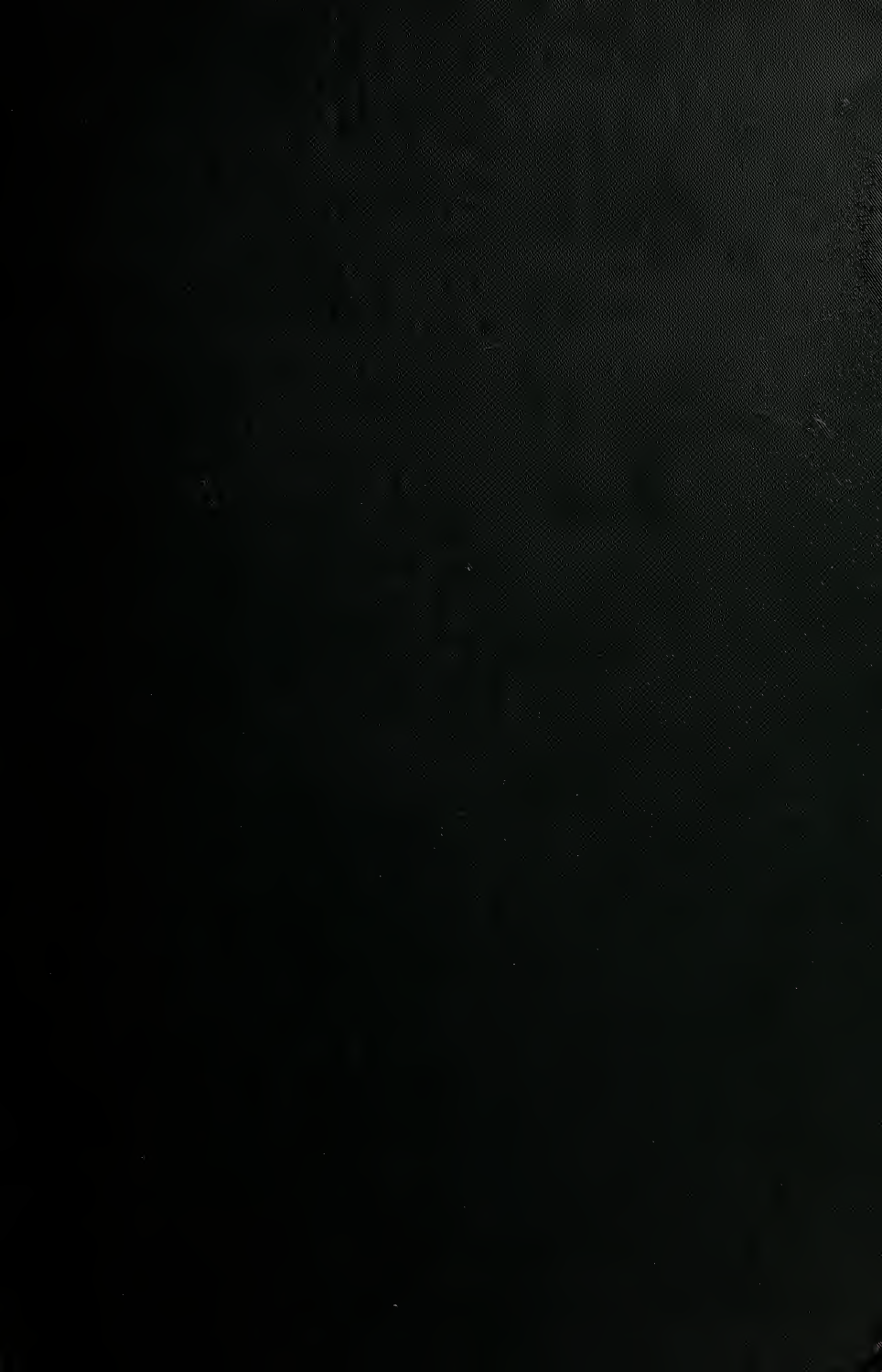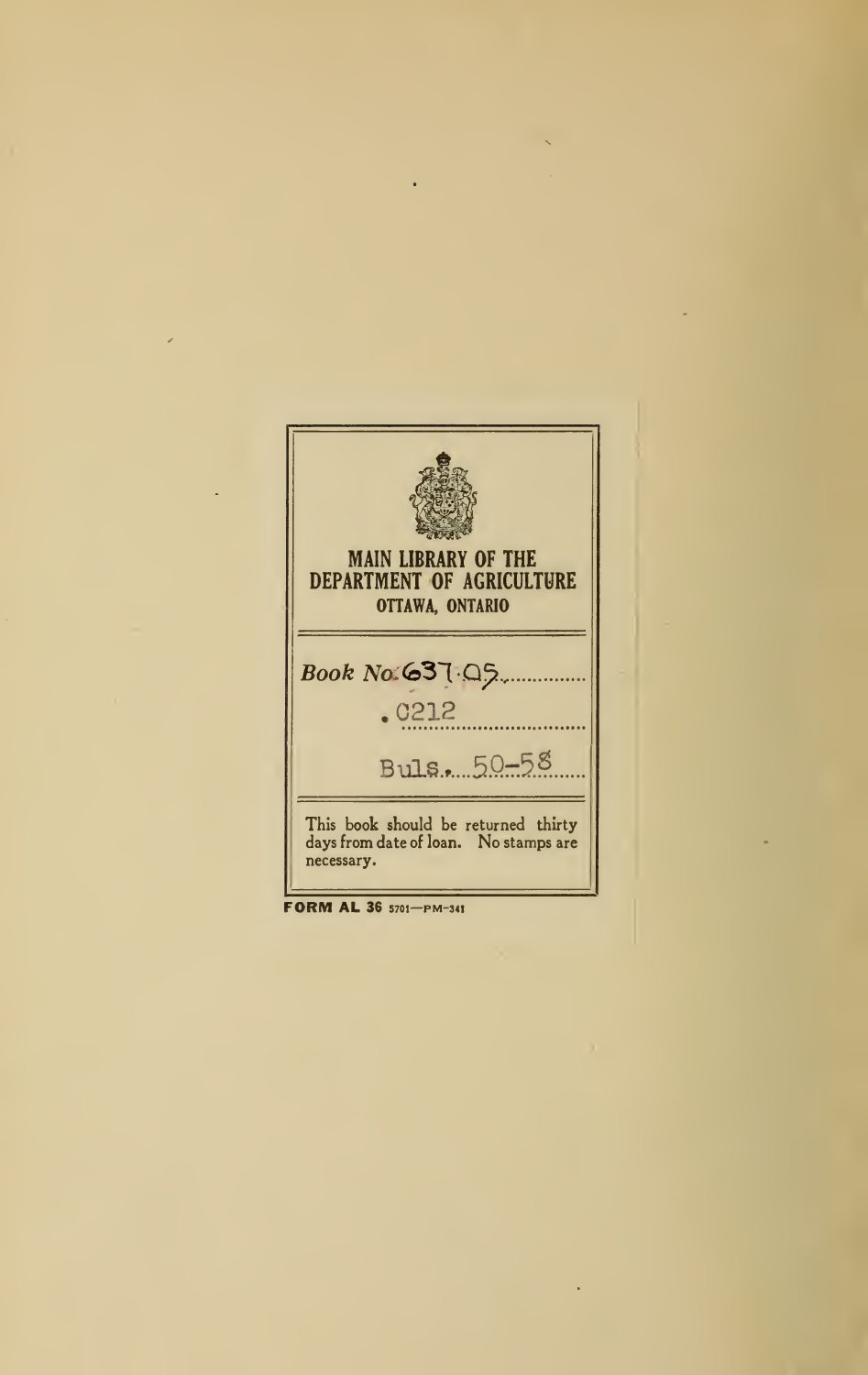| <b>MAIN LIBRARY OF THE</b><br>DEPARTMENT OF AGRICULTURE<br>OTTAWA, ONTARIO                 |  |
|--------------------------------------------------------------------------------------------|--|
| Book No. 637.05<br>.0212                                                                   |  |
| Buls. 50-58                                                                                |  |
| This book should be returned thirty<br>days from date of loan. No stamps are<br>necessary. |  |

FORM AL <sup>36</sup> 5701—PM-341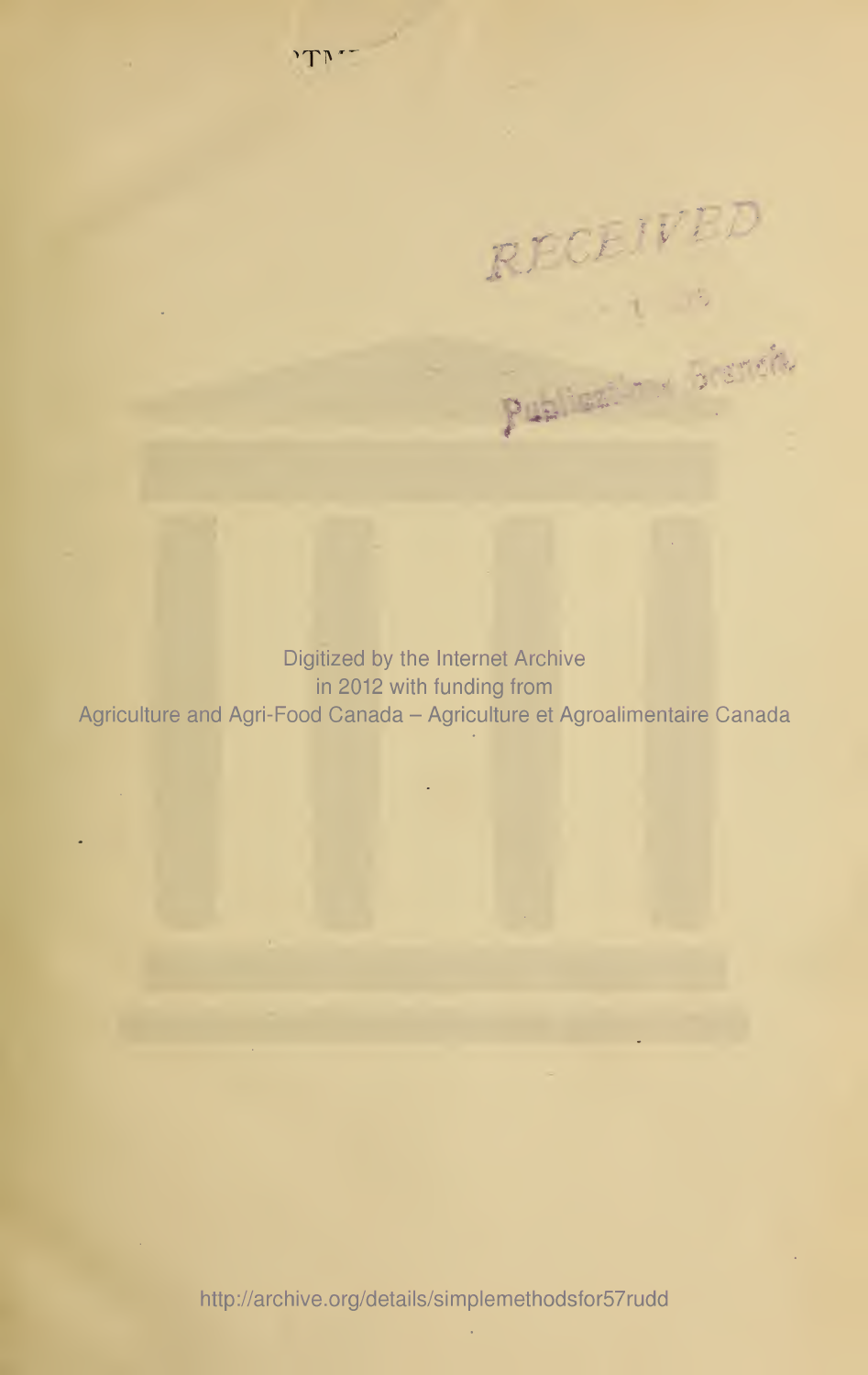Digitized by the Internet Archive in 2012 with funding from Agriculture and Agri-Food Canada - Agriculture et Agroalimentaire Canada

RECEIVED

 $TN -$ 

http://archive.org/details/simplemethodsfor57rudd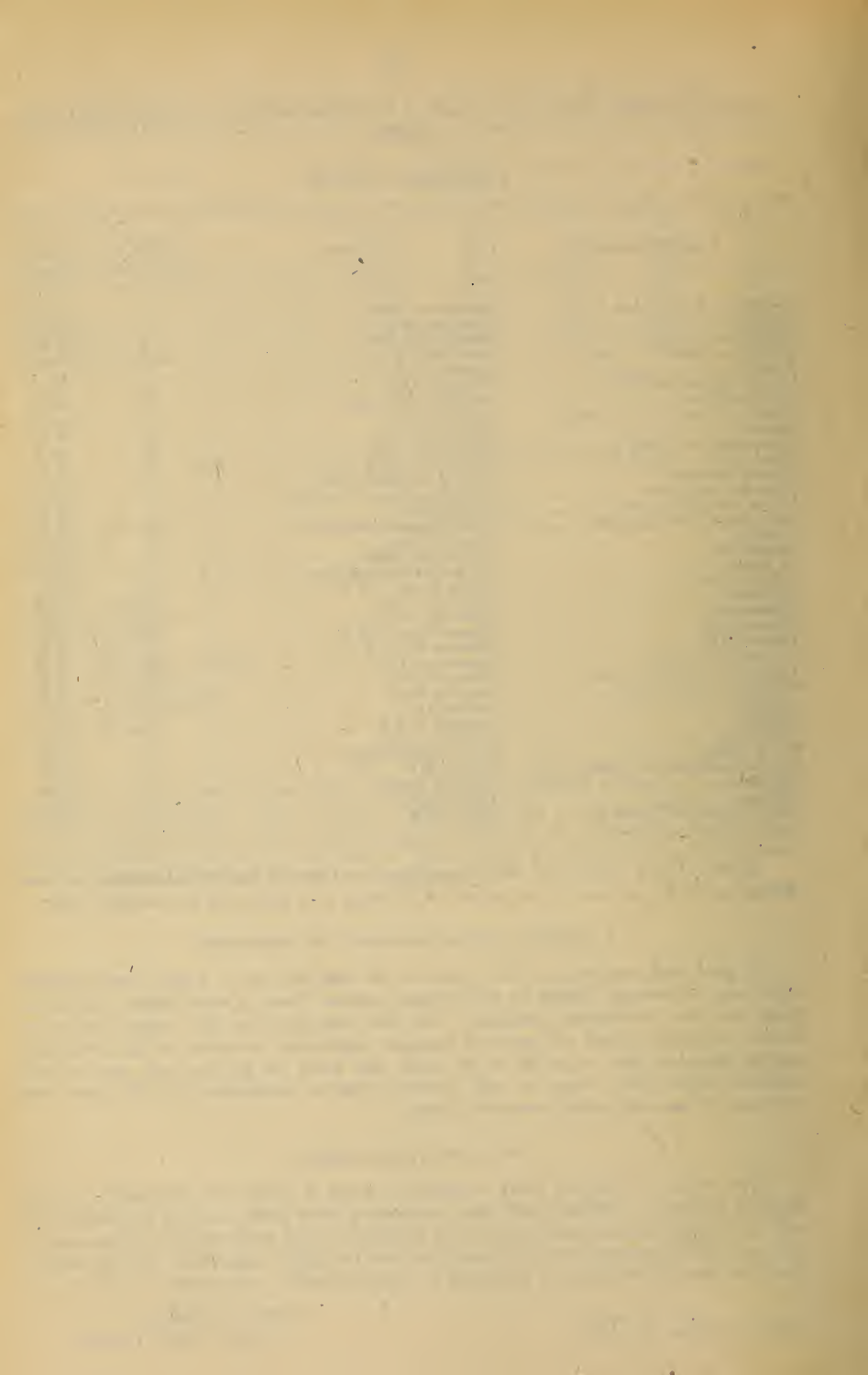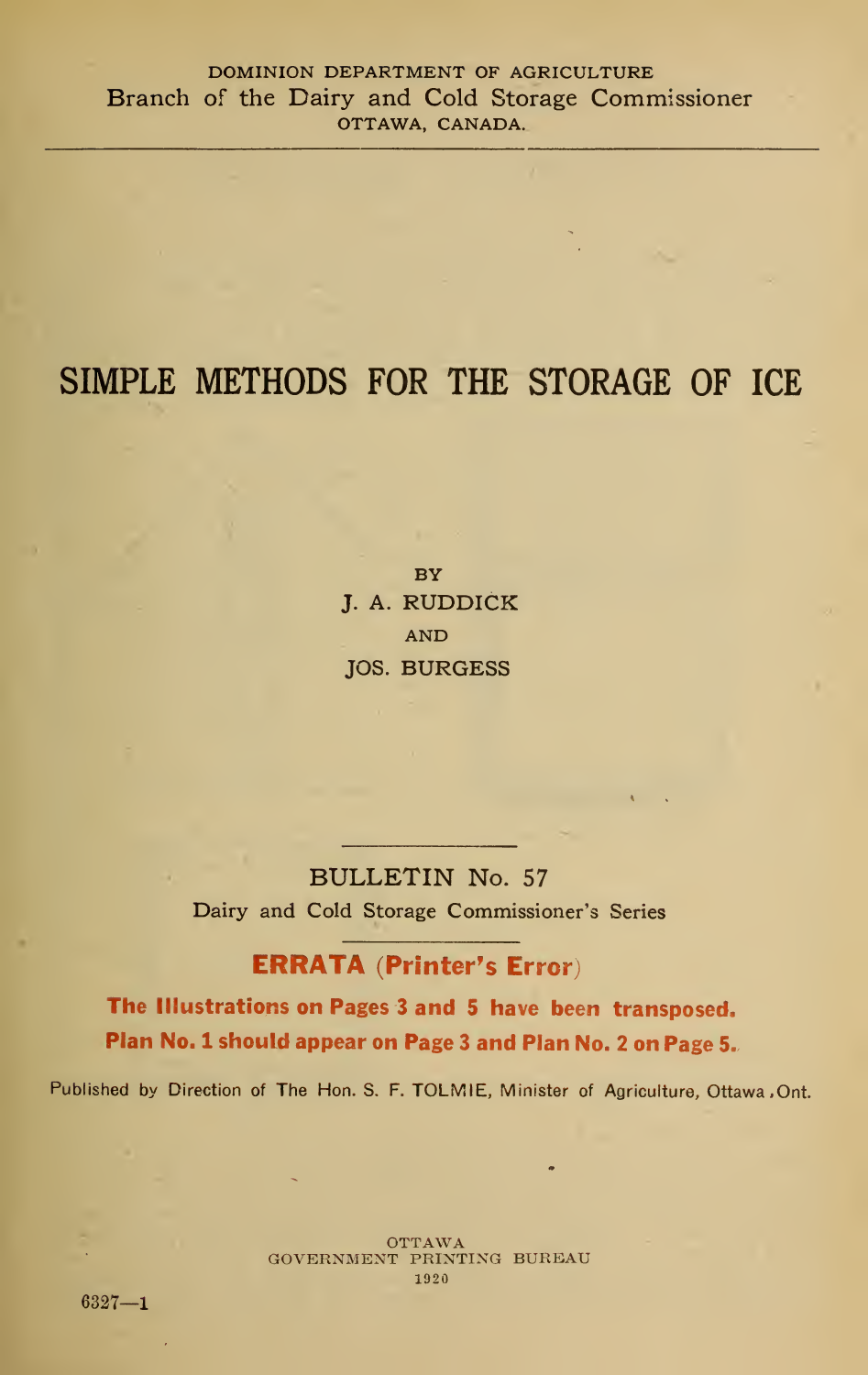# SIMPLE METHODS FOR THE STORAGE OF ICE

BY J. A. RUDDICK AND JOS. BURGESS

BULLETIN No. <sup>57</sup> Dairy and Cold Storage Commissioner's Series

ERRATA (Printer's Error)

The Illustrations on Pages <sup>3</sup> and <sup>5</sup> have been transposed. Plan No. 1 should appear on Page <sup>3</sup> and Plan No. 2 on Page 5.

Published by Direction of The Hon. S. F. TOLMIE, Minister of Agriculture, Ottawa, Ont.

OTTAWA GOVERNMENT PRINTING BUREAU 1920

6327—1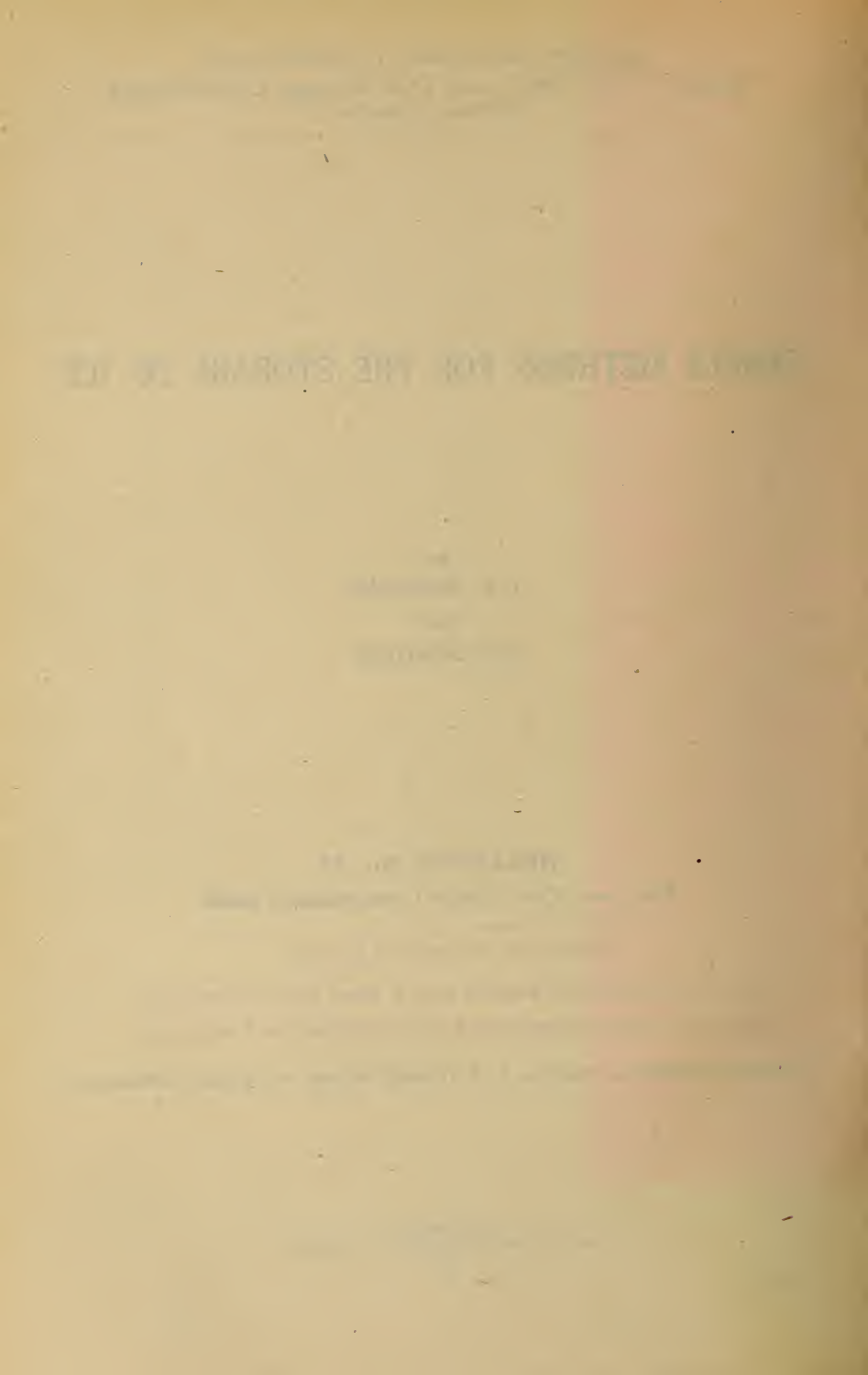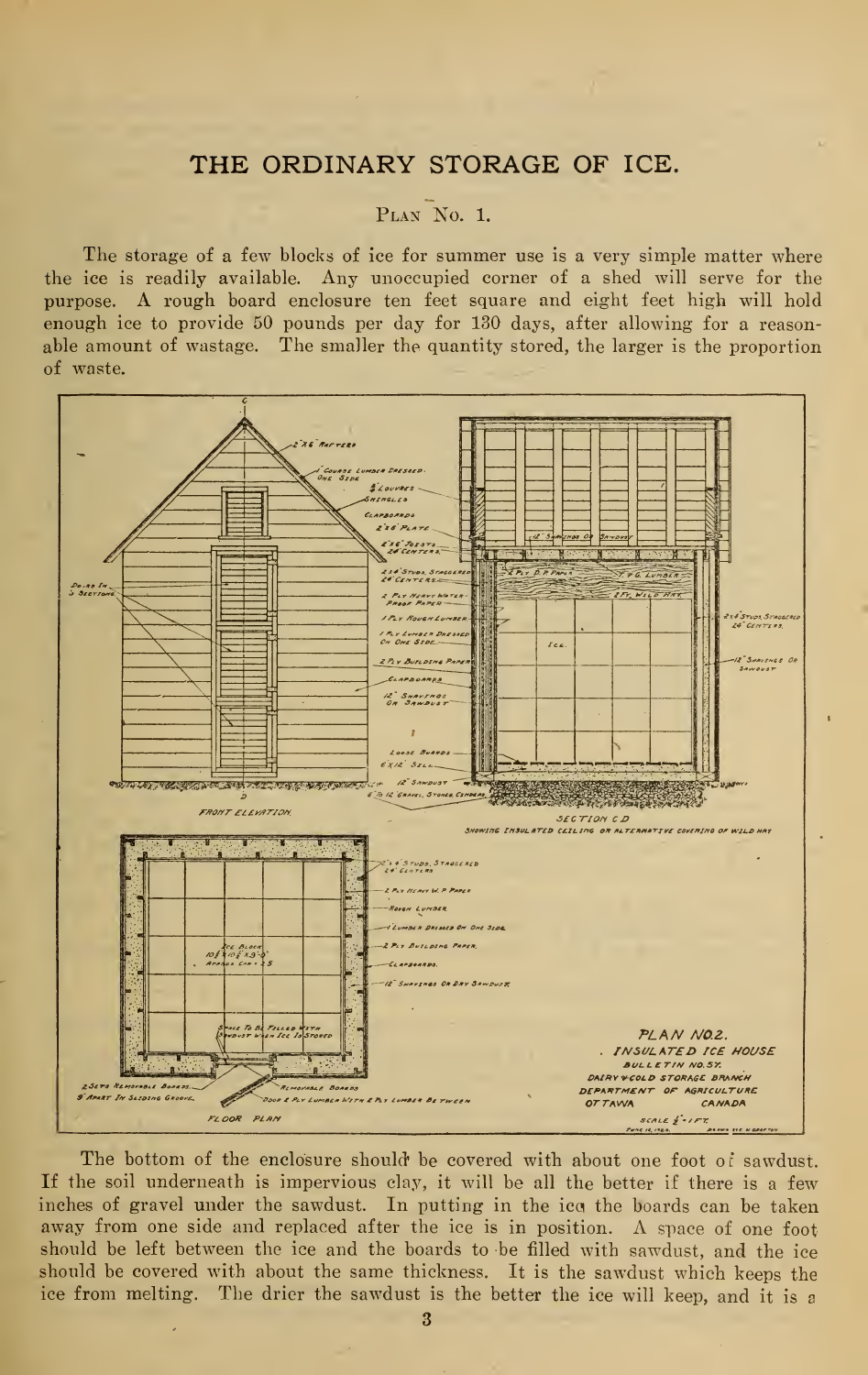# THE ORDINARY STORAGE OF ICE.

# Plan No. 1.

The storage of a few blocks of ice for summer use is a very simple matter where the ice is readily available. Any unoccupied corner of a shed will serve for the purpose. A rough board enclosure ten feet square and eight feet high will hold enough ice to provide 50 pounds per day for 130 days, after allowing for a reasonable amount of wastage. The smaller the quantity stored, the larger is the proportion of waste.



The bottom of the enclosure should' be covered with about one foot of sawdust. If the soil underneath is impervious clay, it will be all the better if there is a few inches of gravel under the sawdust. In putting in the icci the boards can be taken away from one side and replaced after the ice is in position. A space of one foot should be left between the ice and the boards to be filled with sawdust, and the ice should be covered with about the same thickness. It is the sawdust which keeps the ice from melting. The drier the sawdust is the better the ice will keep, and it is a

3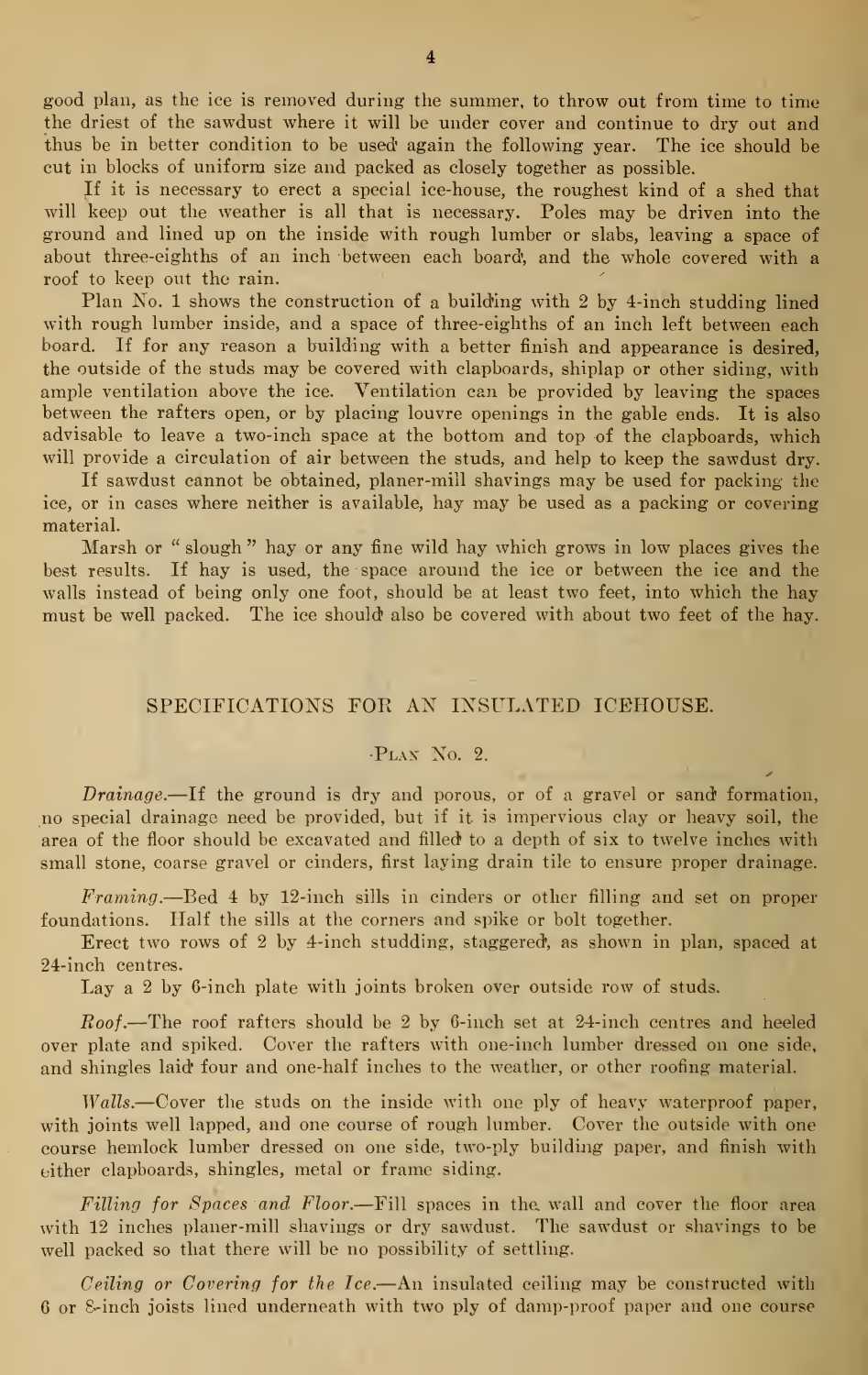good plan, as the ice is removed during the summer, to throw out from time to time the driest of the sawdust where itwill be under cover and continue to dry out and thus be in better condition to be used again the following year. The ice should be cut in blocks of uniform size and packed as closely together as possible.

If it is necessary to erect a special ice-house, the roughest kind of a shed that will keep out the weather is all that is necessary. Poles may be driven into the ground and lined up on the inside with rough lumber or slabs, leaving a space of about three-eighths of an inch between each board', and the whole covered with a roof to keep out the rain.

Plan No. <sup>1</sup> shows the construction of a building with 2 by 4-inch studding lined with rough lumber inside, and a space of three-eighths of an inch left between each board. If for any reason a building with a better finish and appearance is desired, the outside of the studs may be covered with clapboards, shiplap or other siding, with ample ventilation above the ice. Ventilation can be provided by leaving the spaces between the rafters open, or by placing louvre openings in the gable ends. It is also advisable to leave a two-inch space at the bottom and top of the clapboards, which will provide a circulation of air between the studs, and help to keep the sawdust dry.

If sawdust cannot be obtained, planer-mill shavings may be used for packing the ice, or in cases where neither is available, hay may be used as a packing or covering material.

Marsh or "slough" hay or any fine wild hay which grows in low places gives the best results. If hay is used, the space around the ice or between the ice and the walls instead of being only one foot, should be at least two feet, into which the hay must be well packed. The ice should also be covered with about two feet of the hay.

## SPECIFICATIONS FOR AN INSULATED ICEHOUSE.

### PLAN No. 2.

Drainage.—If the ground is dry and porous, or of a gravel or sand formation, no special drainage need be provided, but if it is impervious clay or heavy soil, the area of the floor should be excavated and filled to a depth of six to twelve inches with small stone, coarse gravel or cinders, first laying drain tile to ensure proper drainage.

Framing.—Bed <sup>4</sup> by 12-inch sills in cinders or other filling and set on proper foundations. Half the sills at the corners and spike or bolt together.

Erect two rows of 2 by 4-inch studding, staggered, as shown in plan, spaced at 24-inch centres.

Lay a <sup>2</sup> by 6-inch plate with joints broken over outside row of studs.

Roof.—The roof rafters should be <sup>2</sup> by 6-inch set at 24-inch centres and heeled over plate and spiked. Cover the rafters with one-inch lumber dressed on one side, and shingles laid four and one-half inches to the weather, or other roofing material.

Walls.—Cover the studs on the inside with one ply of heavy waterproof paper, with joints well lapped, and one course of rough lumber. Cover the outside with one course hemlock lumber dressed on one side, two-ply building paper, and finish with either clapboards, shingles, metal or frame siding.

Filling for Spaces and Floor.—Fill spaces in the wall and cover the floor area with 12 inches planer-mill shavings or dry sawdust. The sawdust or shavings to be well packed so that there will be no possibility of settling.

*Ceiling or Covering for the Ice.*—An insulated ceiling may be constructed with 6 or &-inch joists lined underneath with two ply of damp-proof paper and one course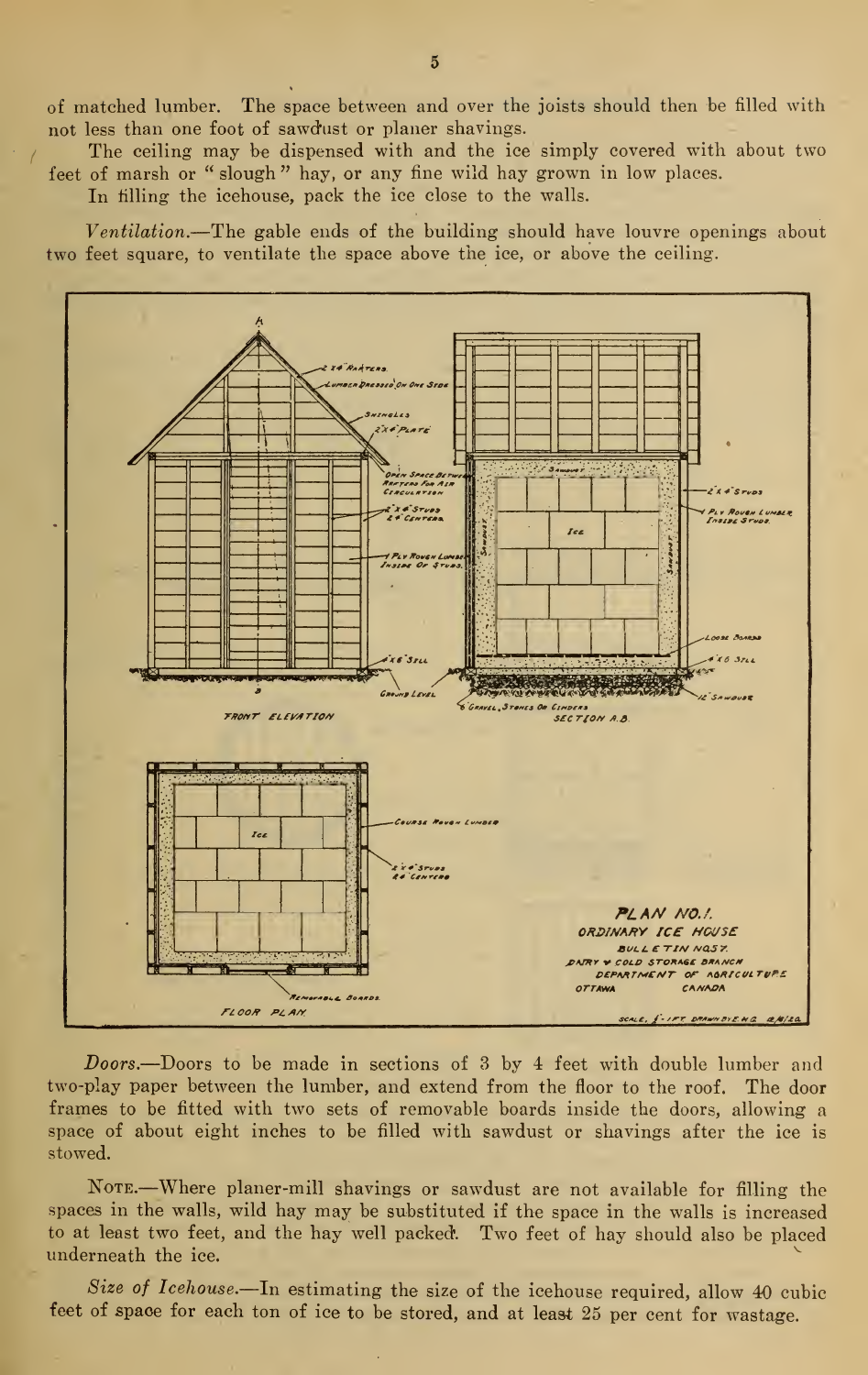of matched lumber. The space between and over the joists should then be filled with not less than one foot of sawdust or planer shavings.

The ceiling may be dispensed with and the ice simply covered with about two feet of marsh or "slough" hay, or any fine wild hay grown in low places.

In filling the icehouse, pack the ice close to the walls.

Ventilation.—The gable ends of the building should have louvre openings about two feet square, to ventilate the space above the ice, or above the ceiling.



Doors.—Doors to be made in sections of 3 by 4 feet with double lumber and two-play paper between the lumber, and extend from the floor to the roof. The door frames to be fitted with two sets of removable boards inside the doors, allowing a space of about eight inches to be filled with sawdust or shavings after the ice is stowed.

NOTE.-Where planer-mill shavings or sawdust are not available for filling the spaces in the walls, wild hay may be substituted if the space in the walls is increased to at least two feet, and the hay well packed. Two feet of hay should also be placed underneath the ice.

Size of Icehouse.—In estimating the size of the icehouse required, allow 40 cubic feet of space for each ton of ice to be stored, and at least 25 per cent for wastage.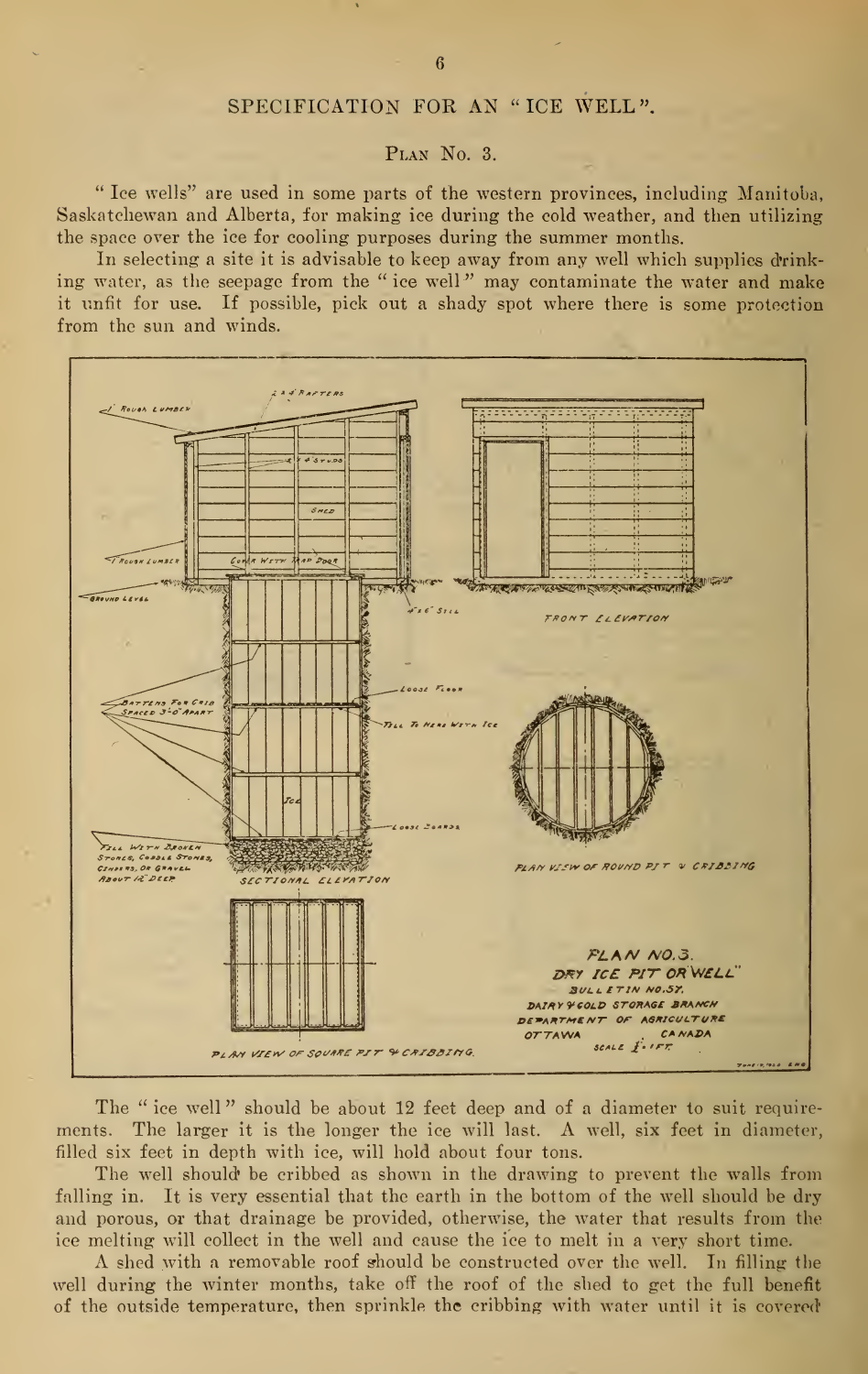## SPECIFICATION FOR AN "ICE WELL".

## PLAN No. 3.

" Ice wells" are used in some parts of the western provinces, including Manitoba, Saskatchewan and Alberta, for making ice during the cold weather, and then utilizing the space over the ice for cooling purposes during the summer months.

In selecting a site it is advisable to keep away from any well which supplies drinking water, as the seepage from the " ice well " may contaminate the water and make it unfit for use. If possible, pick out a shady spot where there is some protection from the sun and winds.



The "ice well" should be about 12 feet deep and of a diameter to suit require ments. The larger it is the longer the ice will last. A well, six feet in diameter, filled six feet in depth with ice, will hold about four tons.

The well should be cribbed as shown in the drawing to prevent the walls from falling in. It is very essential that the earth in the bottom of the well should be dry and porous, or that drainage be provided, otherwise, the water that results from the ice melting will collect in the well and cause the ice to melt in a very short time.

A shed with <sup>a</sup> removable roof should be constructed over the well. In filling the well during the winter months, take off the roof of the shed to get the full benefit of the outside temperature, then sprinkle the cribbing with water until it is covered'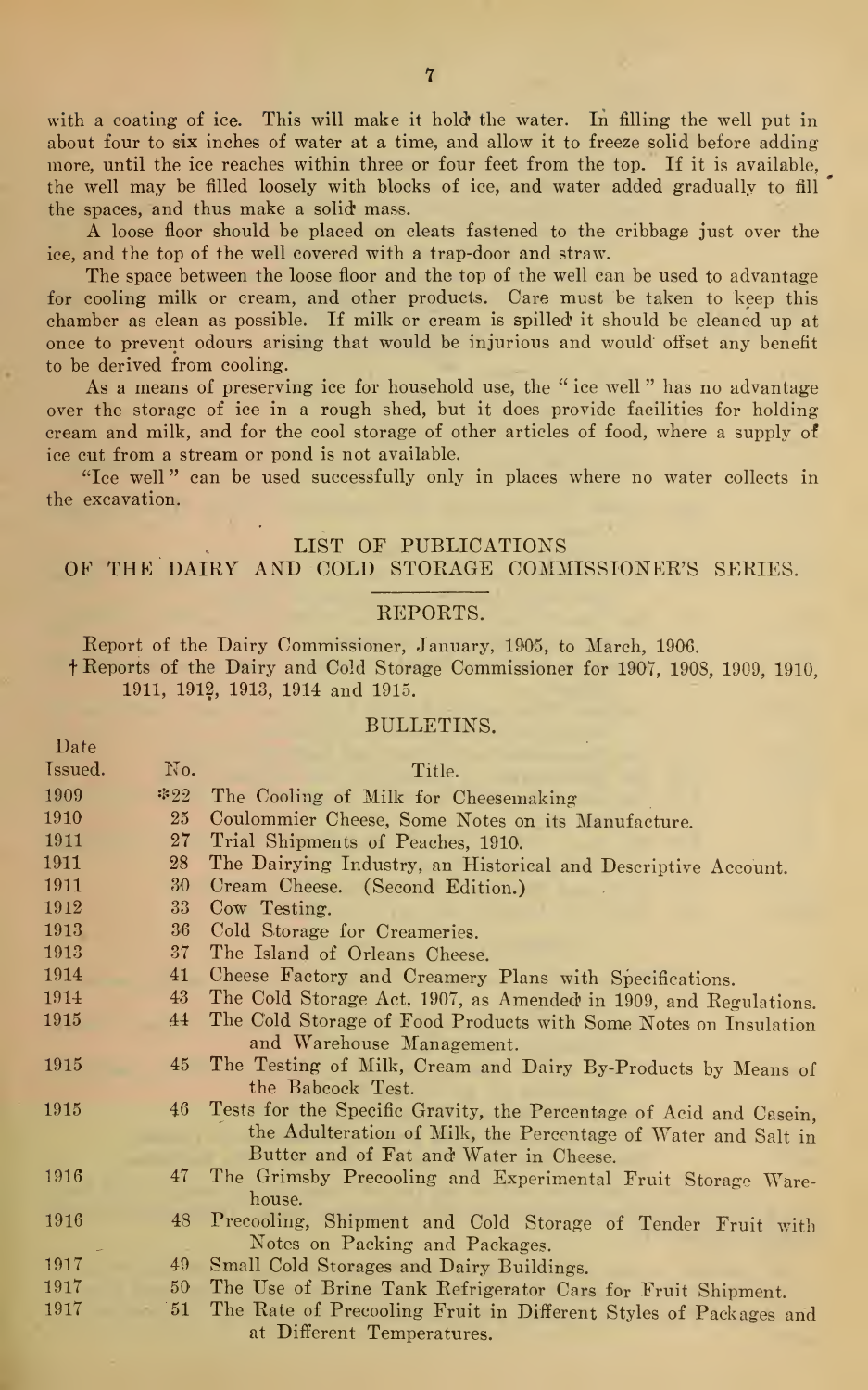with a coating of ice. This will make it hold the water. In filling the well put in about four to six inches of water at a time, and allow it to freeze solid before adding more, until the ice reaches within three or four feet from the top. If it is available, the well may be filled loosely with blocks of ice, and water added gradually to fill the spaces, and thus make a solid mass.

A loose floor should be placed on cleats fastened to the cribbage just over the ice, and the top of the well covered with a trap-door and straw.

The space between the loose floor and the top of the well can be used to advantage for cooling milk or cream, and other products. Care must be taken to keep this chamber as clean as possible. If milk or cream is spilled it should be cleaned up at once to prevent odours arising that would be injurious and would offset any benefit to be derived from cooling.

As a means of preserving ice for household use, the " ice well " has no advantage over the storage of ice in a rough shed, but it does provide facilities for holding cream and milk, and for the cool storage of other articles of food, where a supply of ice cut from a stream or pond is not available.

"Ice well" can be used successfully only in places where no water collects in the excavation.

#### LIST OF PUBLICATIONS

# OF THE DAIRY AND COLD STORAGE COMMISSIONER'S SERIES.

#### REPORTS.

Report of the Dairy Commissioner, January, 1905, to March, 1906. f Reports of the Dairy and Cold Storage Commissioner for 1907, 1908, 1909, 1910, 1911, 1912, 1913, 1914 and 1915.

### BULLETINS.

| Date    |                 |                                                                    |
|---------|-----------------|--------------------------------------------------------------------|
| Issued. | No.             | Title.                                                             |
| 1909    | $*22$           | The Cooling of Milk for Cheesemaking                               |
| 1910    | $25\,$          | Coulommier Cheese, Some Notes on its Manufacture.                  |
| 1911    | 27              | Trial Shipments of Peaches, 1910.                                  |
| 1911    | 28              | The Dairying Industry, an Historical and Descriptive Account.      |
| 1911    | 30              | Cream Cheese. (Second Edition.)                                    |
| 1912    | 33              | Cow Testing.                                                       |
| 1913    | 36              | Cold Storage for Creameries.                                       |
| 1913    | 37              | The Island of Orleans Cheese.                                      |
| 1914    | 41              | Cheese Factory and Creamery Plans with Specifications.             |
| 1914    | 43              | The Cold Storage Act, 1907, as Amended in 1909, and Regulations.   |
| 1915    | 44              | The Cold Storage of Food Products with Some Notes on Insulation    |
|         |                 | and Warehouse Management.                                          |
| 1915    | 45              | The Testing of Milk, Cream and Dairy By-Products by Means of       |
|         |                 | the Babcock Test.                                                  |
| 1915    | 46              | Tests for the Specific Gravity, the Percentage of Acid and Casein, |
|         |                 | the Adulteration of Milk, the Percentage of Water and Salt in      |
|         |                 | Butter and of Fat and Water in Cheese.                             |
| 1916    | 47              | The Grimsby Precooling and Experimental Fruit Storage Ware-        |
|         |                 | house.                                                             |
| 1916    | 48              | Precooling, Shipment and Cold Storage of Tender Fruit with         |
|         |                 | Notes on Packing and Packages.                                     |
| 1917    | 49              | Small Cold Storages and Dairy Buildings.                           |
| 1917    | 50 <sub>1</sub> | The Use of Brine Tank Refrigerator Cars for Fruit Shipment.        |
| 1917    | 51              | The Rate of Precooling Fruit in Different Styles of Packages and   |
|         |                 | at Different Temperatures.                                         |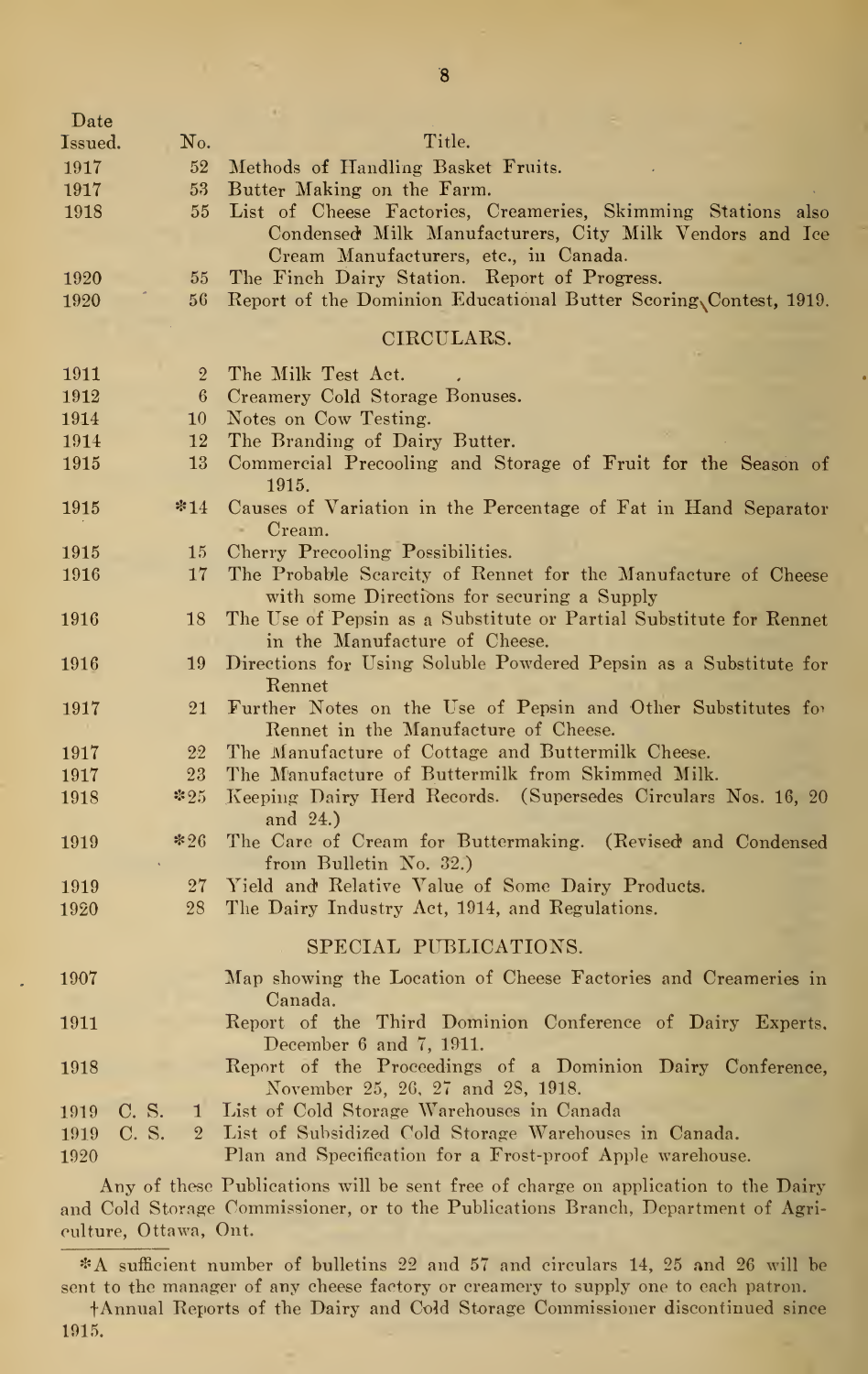| Date    |                          |                                                                                                                                                                  |
|---------|--------------------------|------------------------------------------------------------------------------------------------------------------------------------------------------------------|
| Issued. | $\mathbf{N}\mathbf{o}$ . | Title.                                                                                                                                                           |
| 1917    | 52                       | Methods of Handling Basket Fruits.                                                                                                                               |
| 1917    | 53                       | Butter Making on the Farm.                                                                                                                                       |
| 1918    | 55                       | List of Cheese Factories, Creameries, Skimming Stations also<br>Condensed Milk Manufacturers, City Milk Vendors and Ice<br>Cream Manufacturers, etc., in Canada. |
| 1920    | 55                       | The Finch Dairy Station. Report of Progress.                                                                                                                     |
| 1920    | 56                       | Report of the Dominion Educational Butter Scoring Contest, 1919.                                                                                                 |
|         |                          | CIRCULARS.                                                                                                                                                       |
| 1911    | 2                        | The Milk Test Act.                                                                                                                                               |
| 1912    | 6                        | Creamery Cold Storage Bonuses.                                                                                                                                   |
| 1914    | 10                       | Notes on Cow Testing.                                                                                                                                            |
| 1914    | 12                       | The Branding of Dairy Butter.                                                                                                                                    |
| 1915    | 13                       | Commercial Precooling and Storage of Fruit for the Season of<br>1915.                                                                                            |
| 1915    | $*14$                    | Causes of Variation in the Percentage of Fat in Hand Separator<br>×<br>Cream.                                                                                    |
| 1915    | 15                       | Cherry Precooling Possibilities.                                                                                                                                 |
| 1916    | 17                       | The Probable Scarcity of Rennet for the Manufacture of Cheese<br>with some Directions for securing a Supply                                                      |
| 1916    | 18                       | The Use of Pepsin as a Substitute or Partial Substitute for Rennet<br>in the Manufacture of Cheese.                                                              |
| 1916    | 19                       | Directions for Using Soluble Powdered Pepsin as a Substitute for<br>Rennet                                                                                       |
| 1917    | 21                       | Further Notes on the Use of Pepsin and Other Substitutes for<br>Rennet in the Manufacture of Cheese.                                                             |
| 1917    | 22                       | The Manufacture of Cottage and Buttermilk Cheese.                                                                                                                |
| 1917    | 23                       | The Manufacture of Buttermilk from Skimmed Milk.                                                                                                                 |
| 1918    | $*25$                    | Keeping Dairy Herd Records. (Supersedes Circulars Nos. 16, 20<br>and $24.$                                                                                       |
| 1919    | $*26$                    | The Care of Cream for Buttermaking. (Revised and Condensed<br>from Bulletin No. 32.)                                                                             |
| 1919    | 27                       | Yield and Relative Value of Some Dairy Products.                                                                                                                 |
| 1920    | 28                       | The Dairy Industry Act, 1914, and Regulations.                                                                                                                   |
|         |                          | SPECIAL PUBLICATIONS.                                                                                                                                            |
| 1907    |                          | Map showing the Location of Cheese Factories and Creameries in<br>Canada.                                                                                        |
| 1911    |                          | Report of the Third Dominion Conference of Dairy Experts.<br>December 6 and 7, 1911.                                                                             |
| 1918    |                          | Report of the Proceedings of a Dominion Dairy Conference,<br>November 25, 26, 27 and 28, 1918.                                                                   |
| 1919    | C. S.<br>$\mathbf{1}$    | List of Cold Storage Warehouses in Canada                                                                                                                        |
| 1919    | C. S.<br>$\overline{2}$  | List of Subsidized Cold Storage Warehouses in Canada.                                                                                                            |
| 1920    |                          | Plan and Specification for a Frost-proof Apple warehouse.                                                                                                        |
|         |                          |                                                                                                                                                                  |

Any of these Publications will be sent free of charge on application to the Dairy and Cold Storage Commissioner, or to the Publications Branch, Department of Agriculture, Ottawa, Ont.

#A sufficient number of bulletins <sup>22</sup> and <sup>57</sup> and circulars 14, <sup>25</sup> and <sup>26</sup> will be sent to the manager of any cheese factory or creamery to supply one to each patron.

fAnnual Reports of the Dairy and Cold Storage Commissioner discontinued since 1915.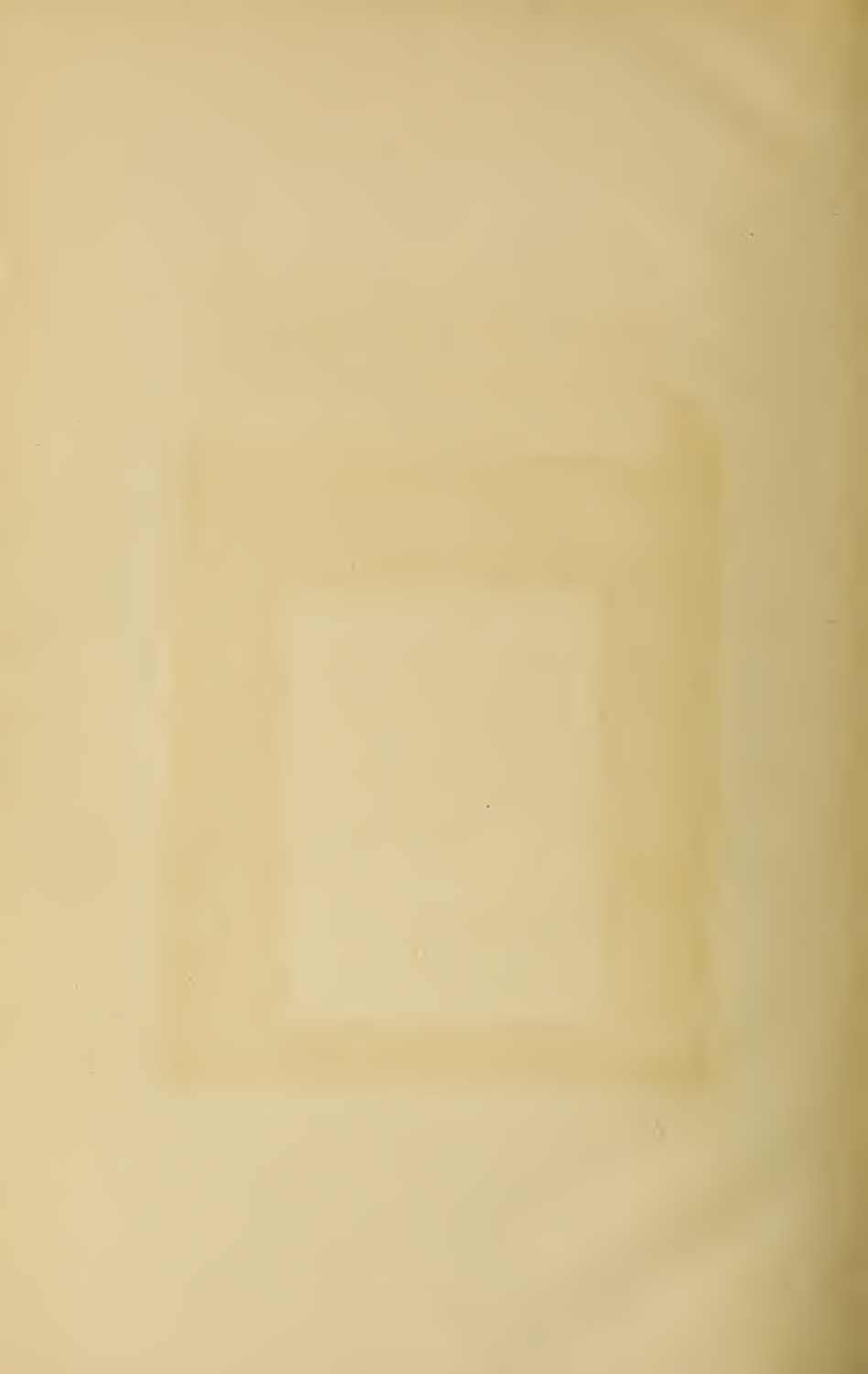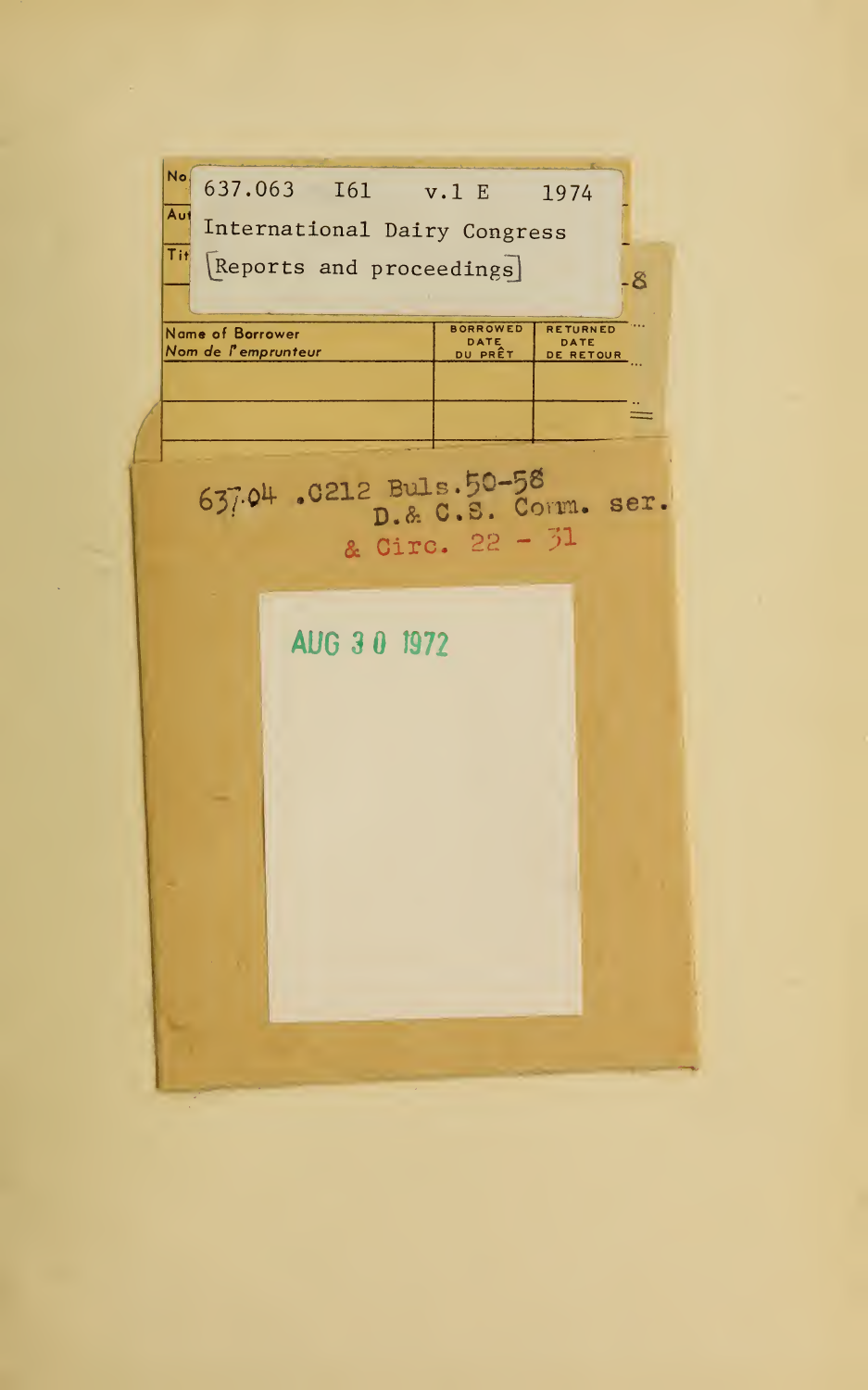